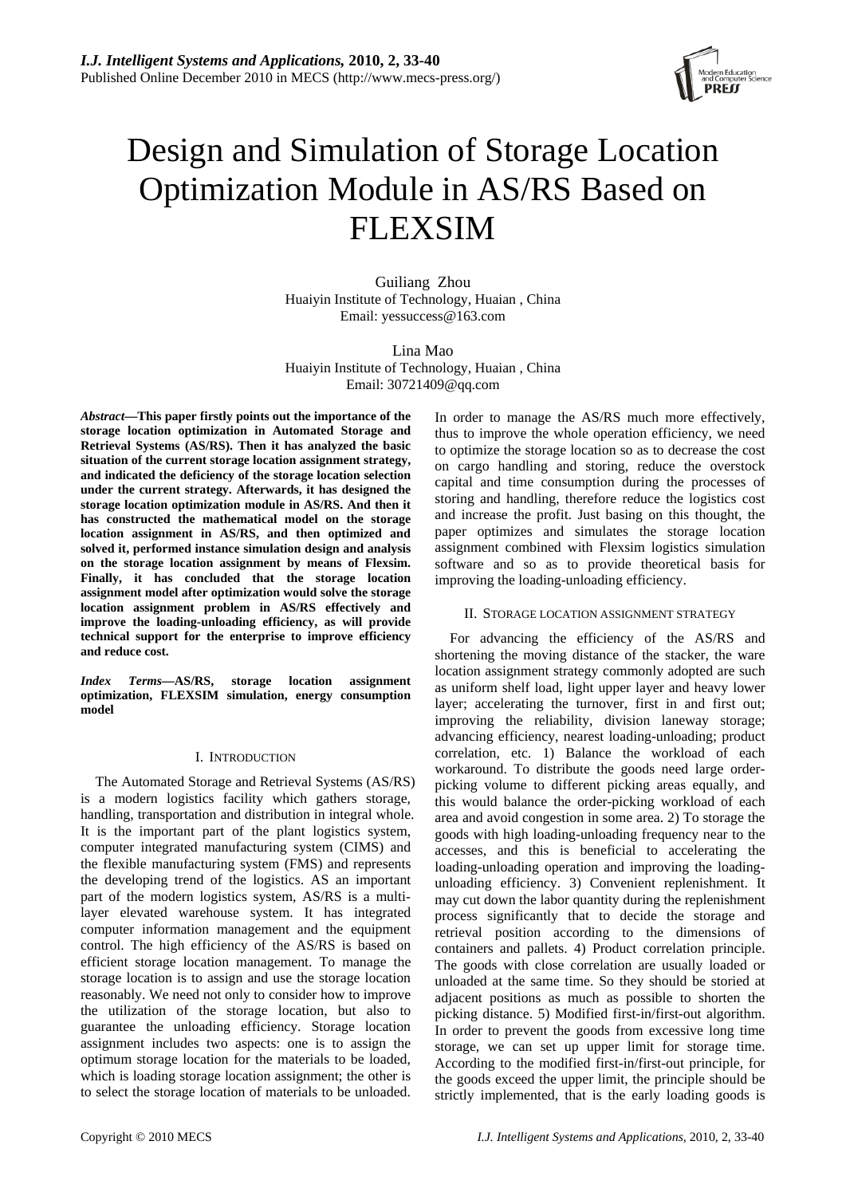

# Design and Simulation of Storage Location Optimization Module in AS/RS Based on FLEXSIM

Guiliang Zhou Huaiyin Institute of Technology, Huaian , China Email: yessuccess@163.com

Lina Mao Huaiyin Institute of Technology, Huaian , China Email: 30721409@qq.com

*Abstract***—This paper firstly points out the importance of the storage location optimization in Automated Storage and Retrieval Systems (AS/RS). Then it has analyzed the basic situation of the current storage location assignment strategy, and indicated the deficiency of the storage location selection under the current strategy. Afterwards, it has designed the storage location optimization module in AS/RS. And then it has constructed the mathematical model on the storage location assignment in AS/RS, and then optimized and solved it, performed instance simulation design and analysis on the storage location assignment by means of Flexsim. Finally, it has concluded that the storage location assignment model after optimization would solve the storage location assignment problem in AS/RS effectively and improve the loading-unloading efficiency, as will provide technical support for the enterprise to improve efficiency and reduce cost.** 

*Index Terms***—AS/RS, storage location assignment optimization, FLEXSIM simulation, energy consumption model** 

# I. INTRODUCTION

The Automated Storage and Retrieval Systems (AS/RS) is a modern logistics facility which gathers storage, handling, transportation and distribution in integral whole. It is the important part of the plant logistics system, computer integrated manufacturing system (CIMS) and the flexible manufacturing system (FMS) and represents the developing trend of the logistics. AS an important part of the modern logistics system, AS/RS is a multilayer elevated warehouse system. It has integrated computer information management and the equipment control. The high efficiency of the AS/RS is based on efficient storage location management. To manage the storage location is to assign and use the storage location reasonably. We need not only to consider how to improve the utilization of the storage location, but also to guarantee the unloading efficiency. Storage location assignment includes two aspects: one is to assign the optimum storage location for the materials to be loaded, which is loading storage location assignment; the other is to select the storage location of materials to be unloaded.

In order to manage the AS/RS much more effectively, thus to improve the whole operation efficiency, we need to optimize the storage location so as to decrease the cost on cargo handling and storing, reduce the overstock capital and time consumption during the processes of storing and handling, therefore reduce the logistics cost and increase the profit. Just basing on this thought, the paper optimizes and simulates the storage location assignment combined with Flexsim logistics simulation software and so as to provide theoretical basis for improving the loading-unloading efficiency.

# II. STORAGE LOCATION ASSIGNMENT STRATEGY

For advancing the efficiency of the AS/RS and shortening the moving distance of the stacker, the ware location assignment strategy commonly adopted are such as uniform shelf load, light upper layer and heavy lower layer; accelerating the turnover, first in and first out; improving the reliability, division laneway storage; advancing efficiency, nearest loading-unloading; product correlation, etc. 1) Balance the workload of each workaround. To distribute the goods need large orderpicking volume to different picking areas equally, and this would balance the order-picking workload of each area and avoid congestion in some area. 2) To storage the goods with high loading-unloading frequency near to the accesses, and this is beneficial to accelerating the loading-unloading operation and improving the loadingunloading efficiency. 3) Convenient replenishment. It may cut down the labor quantity during the replenishment process significantly that to decide the storage and retrieval position according to the dimensions of containers and pallets. 4) Product correlation principle. The goods with close correlation are usually loaded or unloaded at the same time. So they should be storied at adjacent positions as much as possible to shorten the picking distance. 5) Modified first-in/first-out algorithm. In order to prevent the goods from excessive long time storage, we can set up upper limit for storage time. According to the modified first-in/first-out principle, for the goods exceed the upper limit, the principle should be strictly implemented, that is the early loading goods is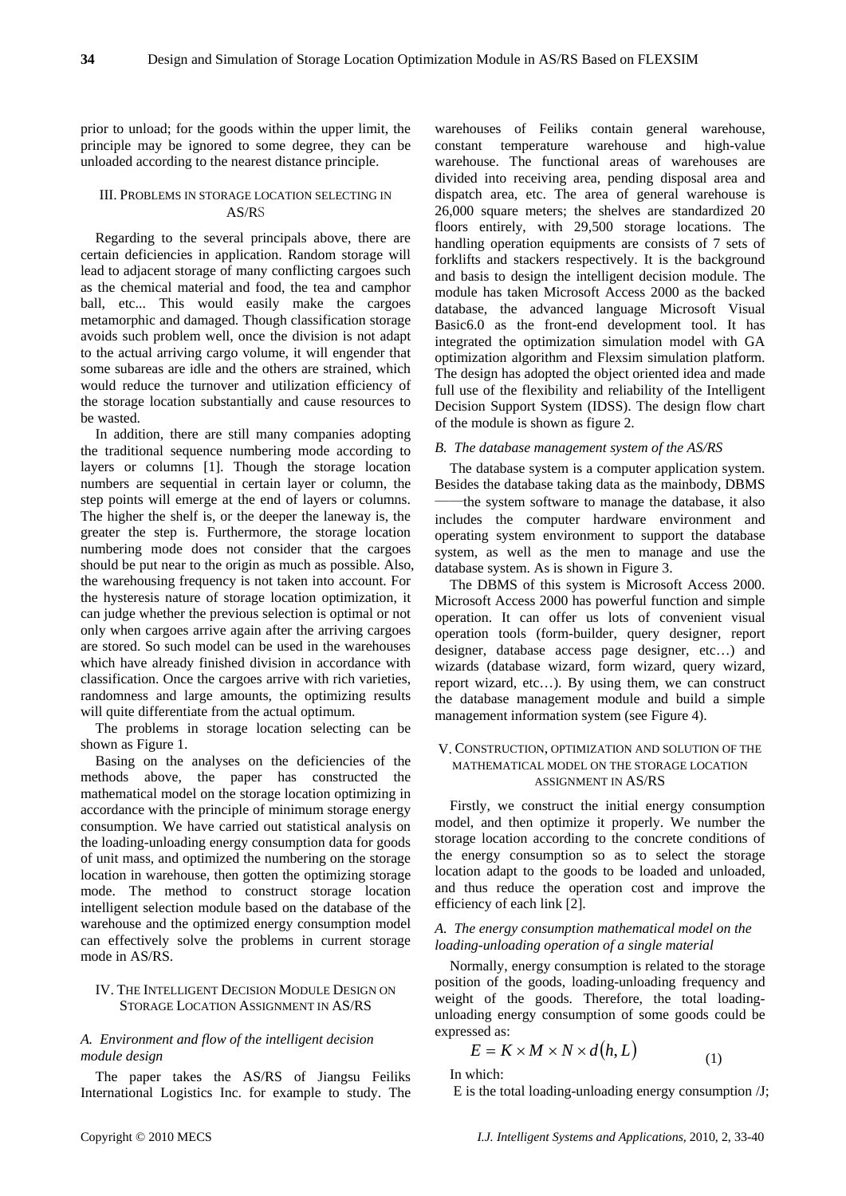prior to unload; for the goods within the upper limit, the principle may be ignored to some degree, they can be unloaded according to the nearest distance principle.

## III. PROBLEMS IN STORAGE LOCATION SELECTING IN AS/RS

Regarding to the several principals above, there are certain deficiencies in application. Random storage will lead to adjacent storage of many conflicting cargoes such as the chemical material and food, the tea and camphor ball, etc... This would easily make the cargoes metamorphic and damaged. Though classification storage avoids such problem well, once the division is not adapt to the actual arriving cargo volume, it will engender that some subareas are idle and the others are strained, which would reduce the turnover and utilization efficiency of the storage location substantially and cause resources to be wasted.

In addition, there are still many companies adopting the traditional sequence numbering mode according to layers or columns [1]. Though the storage location numbers are sequential in certain layer or column, the step points will emerge at the end of layers or columns. The higher the shelf is, or the deeper the laneway is, the greater the step is. Furthermore, the storage location numbering mode does not consider that the cargoes should be put near to the origin as much as possible. Also, the warehousing frequency is not taken into account. For the hysteresis nature of storage location optimization, it can judge whether the previous selection is optimal or not only when cargoes arrive again after the arriving cargoes are stored. So such model can be used in the warehouses which have already finished division in accordance with classification. Once the cargoes arrive with rich varieties, randomness and large amounts, the optimizing results will quite differentiate from the actual optimum.

The problems in storage location selecting can be shown as Figure 1.

Basing on the analyses on the deficiencies of the methods above, the paper has constructed the mathematical model on the storage location optimizing in accordance with the principle of minimum storage energy consumption. We have carried out statistical analysis on the loading-unloading energy consumption data for goods of unit mass, and optimized the numbering on the storage location in warehouse, then gotten the optimizing storage mode. The method to construct storage location intelligent selection module based on the database of the warehouse and the optimized energy consumption model can effectively solve the problems in current storage mode in AS/RS.

# IV. THE INTELLIGENT DECISION MODULE DESIGN ON STORAGE LOCATION ASSIGNMENT IN AS/RS

# *A. Environment and flow of the intelligent decision module design*

The paper takes the AS/RS of Jiangsu Feiliks International Logistics Inc. for example to study. The warehouses of Feiliks contain general warehouse, constant temperature warehouse and high-value warehouse. The functional areas of warehouses are divided into receiving area, pending disposal area and dispatch area, etc. The area of general warehouse is 26,000 square meters; the shelves are standardized 20 floors entirely, with 29,500 storage locations. The handling operation equipments are consists of 7 sets of forklifts and stackers respectively. It is the background and basis to design the intelligent decision module. The module has taken Microsoft Access 2000 as the backed database, the advanced language Microsoft Visual Basic6.0 as the front-end development tool. It has integrated the optimization simulation model with GA optimization algorithm and Flexsim simulation platform. The design has adopted the object oriented idea and made full use of the flexibility and reliability of the Intelligent Decision Support System (IDSS). The design flow chart of the module is shown as figure 2.

#### *B. The database management system of the AS/RS*

The database system is a computer application system. Besides the database taking data as the mainbody, DBMS the system software to manage the database, it also includes the computer hardware environment and operating system environment to support the database system, as well as the men to manage and use the database system. As is shown in Figure 3.

The DBMS of this system is Microsoft Access 2000. Microsoft Access 2000 has powerful function and simple operation. It can offer us lots of convenient visual operation tools (form-builder, query designer, report designer, database access page designer, etc…) and wizards (database wizard, form wizard, query wizard, report wizard, etc…). By using them, we can construct the database management module and build a simple management information system (see Figure 4).

## V. CONSTRUCTION, OPTIMIZATION AND SOLUTION OF THE MATHEMATICAL MODEL ON THE STORAGE LOCATION ASSIGNMENT IN AS/RS

Firstly, we construct the initial energy consumption model, and then optimize it properly. We number the storage location according to the concrete conditions of the energy consumption so as to select the storage location adapt to the goods to be loaded and unloaded, and thus reduce the operation cost and improve the efficiency of each link [2].

# *A. The energy consumption mathematical model on the loading-unloading operation of a single material*

Normally, energy consumption is related to the storage position of the goods, loading-unloading frequency and weight of the goods. Therefore, the total loadingunloading energy consumption of some goods could be expressed as:

$$
E = K \times M \times N \times d(h, L) \tag{1}
$$

In which:

E is the total loading-unloading energy consumption /J;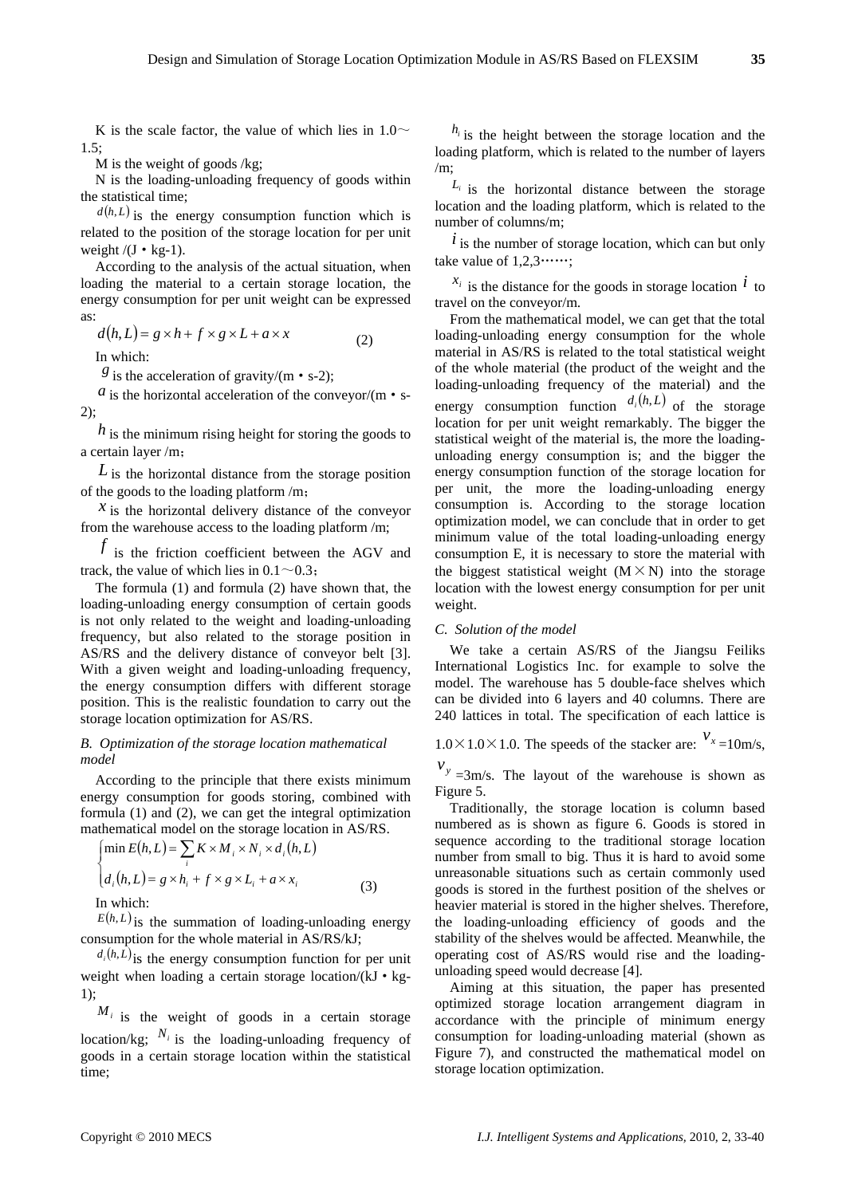K is the scale factor, the value of which lies in  $1.0\sim$ 1.5;

M is the weight of goods /kg;

N is the loading-unloading frequency of goods within the statistical time;

 $d(h, L)$  is the energy consumption function which is related to the position of the storage location for per unit weight  $/(J \cdot kg-1)$ .

According to the analysis of the actual situation, when loading the material to a certain storage location, the energy consumption for per unit weight can be expressed as:

$$
d(h, L) = g \times h + f \times g \times L + a \times x \tag{2}
$$

In which:

 $g$  is the acceleration of gravity/(m  $\cdot$  s-2);

*a* is the horizontal acceleration of the conveyor/(m  $\cdot$  s-2);

*h* is the minimum rising height for storing the goods to a certain layer /m;

*L* is the horizontal distance from the storage position of the goods to the loading platform /m;

 $x$  is the horizontal delivery distance of the convevor from the warehouse access to the loading platform /m;

 $f$  is the friction coefficient between the AGV and track, the value of which lies in  $0.1 \sim 0.3$ .

The formula (1) and formula (2) have shown that, the loading-unloading energy consumption of certain goods is not only related to the weight and loading-unloading frequency, but also related to the storage position in AS/RS and the delivery distance of conveyor belt [3]. With a given weight and loading-unloading frequency, the energy consumption differs with different storage position. This is the realistic foundation to carry out the storage location optimization for AS/RS.

# *B. Optimization of the storage location mathematical model*

According to the principle that there exists minimum energy consumption for goods storing, combined with formula (1) and (2), we can get the integral optimization mathematical model on the storage location in AS/RS.

$$
\begin{cases}\n\min E(h, L) = \sum_{i} K \times M_{i} \times N_{i} \times d_{i}(h, L) \\
d_{i}(h, L) = g \times h_{i} + f \times g \times L_{i} + a \times x_{i} \\
\text{In which:} \n\end{cases} \n\tag{3}
$$

 $E(h, L)$  is the summation of loading-unloading energy consumption for the whole material in AS/RS/kJ;

 $d_i(h, L)$  is the energy consumption function for per unit weight when loading a certain storage location/ $(kJ \cdot kg -$ 1);

 $M_i$  is the weight of goods in a certain storage location/kg;  $N_i$  is the loading-unloading frequency of goods in a certain storage location within the statistical time;

 $h_i$  is the height between the storage location and the loading platform, which is related to the number of layers /m;

 $L_i$  is the horizontal distance between the storage location and the loading platform, which is related to the number of columns/m;

 $i$  is the number of storage location, which can but only take value of  $1,2,3$ ……;

 $x_i$  is the distance for the goods in storage location  $\hat{l}$  to travel on the conveyor/m.

energy consumption function  $d_i(h, L)$  of the storage From the mathematical model, we can get that the total loading-unloading energy consumption for the whole material in AS/RS is related to the total statistical weight of the whole material (the product of the weight and the loading-unloading frequency of the material) and the location for per unit weight remarkably. The bigger the statistical weight of the material is, the more the loadingunloading energy consumption is; and the bigger the energy consumption function of the storage location for per unit, the more the loading-unloading energy consumption is. According to the storage location optimization model, we can conclude that in order to get minimum value of the total loading-unloading energy consumption E, it is necessary to store the material with the biggest statistical weight  $(M \times N)$  into the storage location with the lowest energy consumption for per unit weight.

# *C. Solution of the model*

We take a certain AS/RS of the Jiangsu Feiliks International Logistics Inc. for example to solve the model. The warehouse has 5 double-face shelves which can be divided into 6 layers and 40 columns. There are 240 lattices in total. The specification of each lattice is

 $1.0 \times 1.0 \times 1.0$ . The speeds of the stacker are:  $v_x = 10$  m/s,

 $v_y = 3$ m/s. The layout of the warehouse is shown as Figure 5.

Traditionally, the storage location is column based numbered as is shown as figure 6. Goods is stored in sequence according to the traditional storage location number from small to big. Thus it is hard to avoid some unreasonable situations such as certain commonly used goods is stored in the furthest position of the shelves or heavier material is stored in the higher shelves. Therefore, the loading-unloading efficiency of goods and the stability of the shelves would be affected. Meanwhile, the operating cost of AS/RS would rise and the loadingunloading speed would decrease [4].

Aiming at this situation, the paper has presented optimized storage location arrangement diagram in accordance with the principle of minimum energy consumption for loading-unloading material (shown as Figure 7), and constructed the mathematical model on storage location optimization.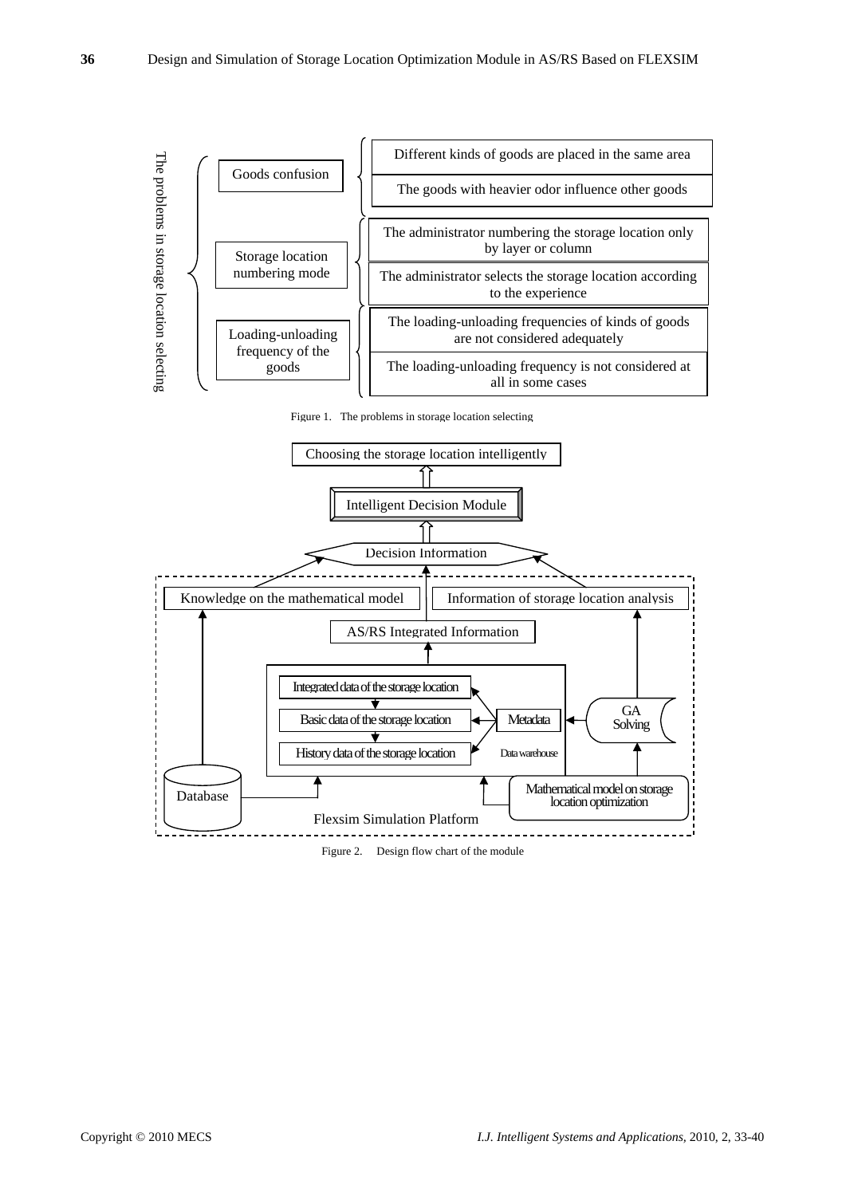

Figure 1. The problems in storage location selecting



Figure 2. Design flow chart of the module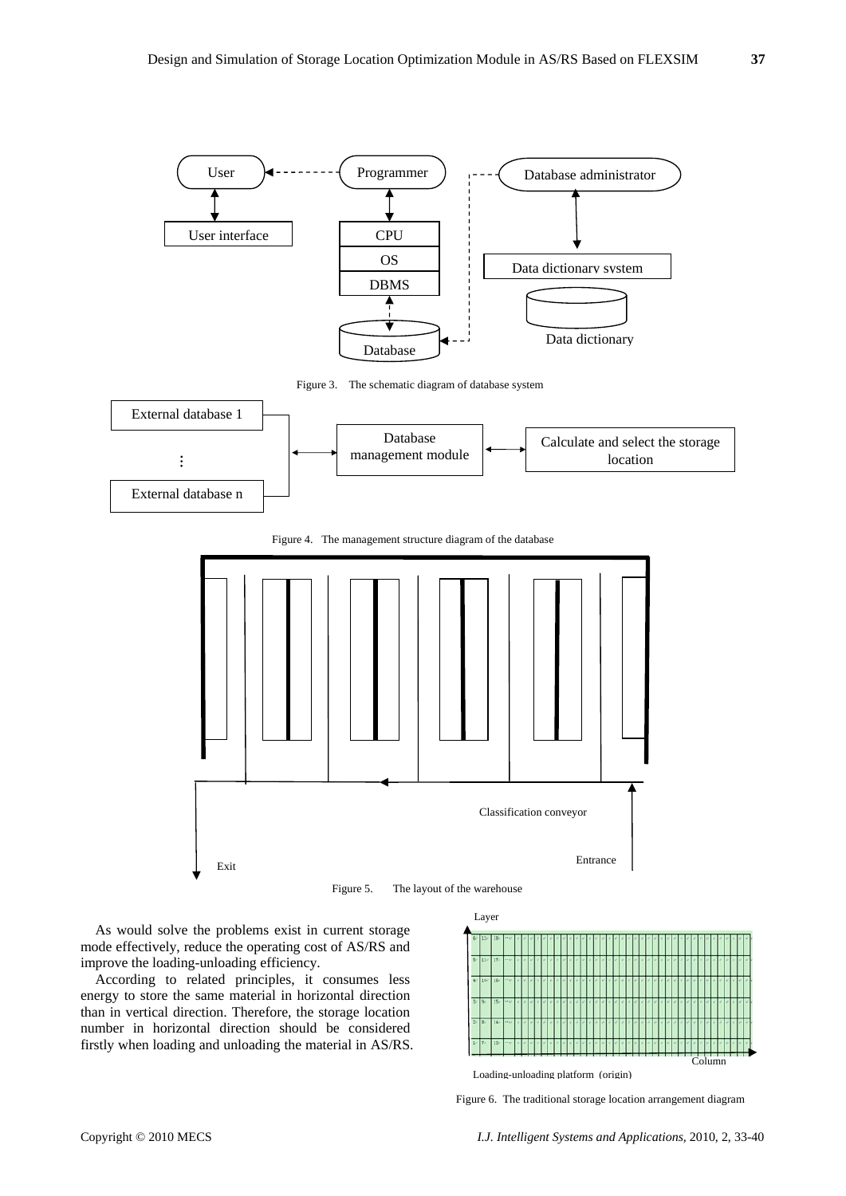

Figure 5. The layout of the warehouse

As would solve the problems exist in current storage mode effectively, reduce the operating cost of AS/RS and improve the loading-unloading efficiency.

Exit

According to related principles, it consumes less energy to store the same material in horizontal direction than in vertical direction. Therefore, the storage location number in horizontal direction should be considered firstly when loading and unloading the material in AS/RS.



Entrance

Loading-unloading platform (origin)

Classification conveyor

Figure 6. The traditional storage location arrangement diagram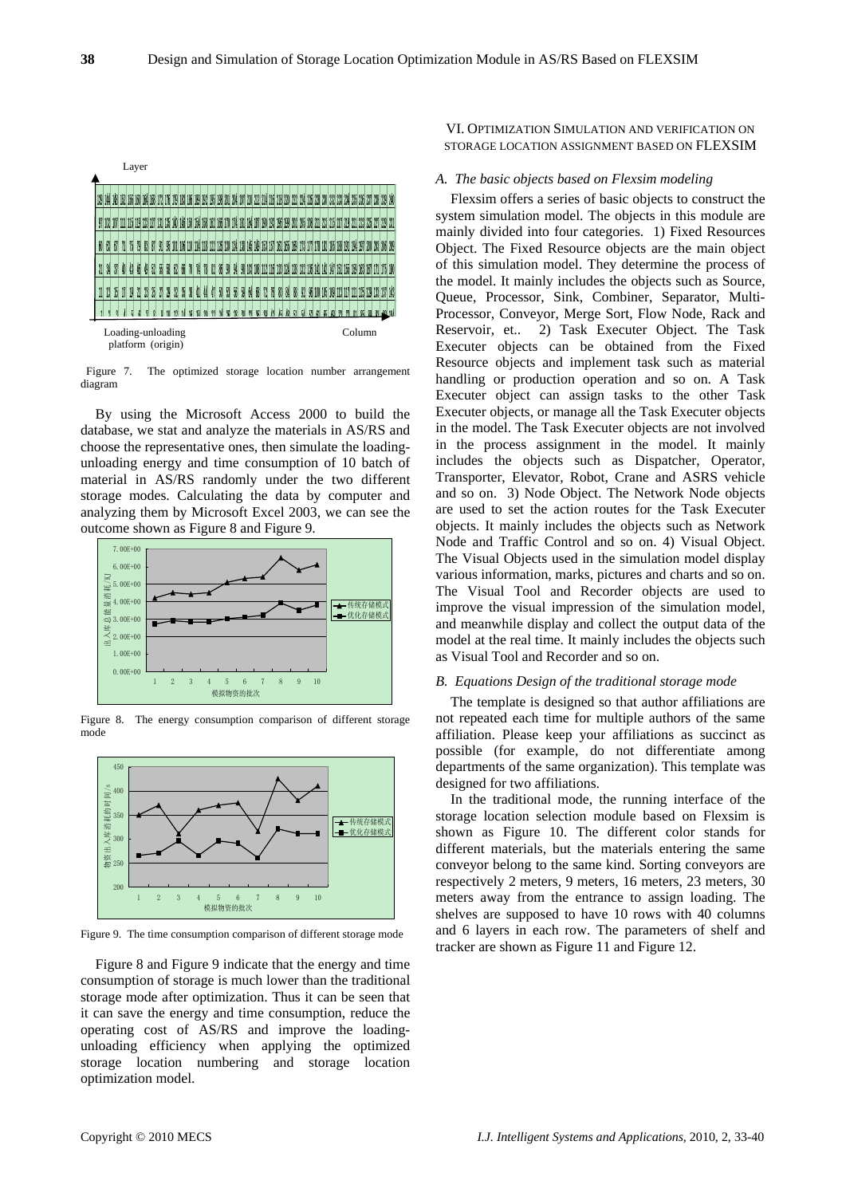

Figure 7. The optimized storage location number arrangement diagram

By using the Microsoft Access 2000 to build the database, we stat and analyze the materials in AS/RS and choose the representative ones, then simulate the loadingunloading energy and time consumption of 10 batch of material in AS/RS randomly under the two different storage modes. Calculating the data by computer and analyzing them by Microsoft Excel 2003, we can see the outcome shown as Figure 8 and Figure 9.



Figure 8. The energy consumption comparison of different storage mode



Figure 9. The time consumption comparison of different storage mode

Figure 8 and Figure 9 indicate that the energy and time consumption of storage is much lower than the traditional storage mode after optimization. Thus it can be seen that it can save the energy and time consumption, reduce the operating cost of AS/RS and improve the loadingunloading efficiency when applying the optimized storage location numbering and storage location optimization model.

VI. OPTIMIZATION SIMULATION AND VERIFICATION ON STORAGE LOCATION ASSIGNMENT BASED ON FLEXSIM

# *A. The basic objects based on Flexsim modeling*

Flexsim offers a series of basic objects to construct the system simulation model. The objects in this module are mainly divided into four categories. 1) Fixed Resources Object. The Fixed Resource objects are the main object of this simulation model. They determine the process of the model. It mainly includes the objects such as Source, Queue, Processor, Sink, Combiner, Separator, Multi-Processor, Conveyor, Merge Sort, Flow Node, Rack and Reservoir, et.. 2) Task Executer Object. The Task Executer objects can be obtained from the Fixed Resource objects and implement task such as material handling or production operation and so on. A Task Executer object can assign tasks to the other Task Executer objects, or manage all the Task Executer objects in the model. The Task Executer objects are not involved in the process assignment in the model. It mainly includes the objects such as Dispatcher, Operator, Transporter, Elevator, Robot, Crane and ASRS vehicle and so on. 3) Node Object. The Network Node objects are used to set the action routes for the Task Executer objects. It mainly includes the objects such as Network Node and Traffic Control and so on. 4) Visual Object. The Visual Objects used in the simulation model display various information, marks, pictures and charts and so on. The Visual Tool and Recorder objects are used to improve the visual impression of the simulation model, and meanwhile display and collect the output data of the model at the real time. It mainly includes the objects such as Visual Tool and Recorder and so on.

#### *B. Equations Design of the traditional storage mode*

The template is designed so that author affiliations are not repeated each time for multiple authors of the same affiliation. Please keep your affiliations as succinct as possible (for example, do not differentiate among departments of the same organization). This template was designed for two affiliations.

In the traditional mode, the running interface of the storage location selection module based on Flexsim is shown as Figure 10. The different color stands for different materials, but the materials entering the same conveyor belong to the same kind. Sorting conveyors are respectively 2 meters, 9 meters, 16 meters, 23 meters, 30 meters away from the entrance to assign loading. The shelves are supposed to have 10 rows with 40 columns and 6 layers in each row. The parameters of shelf and tracker are shown as Figure 11 and Figure 12.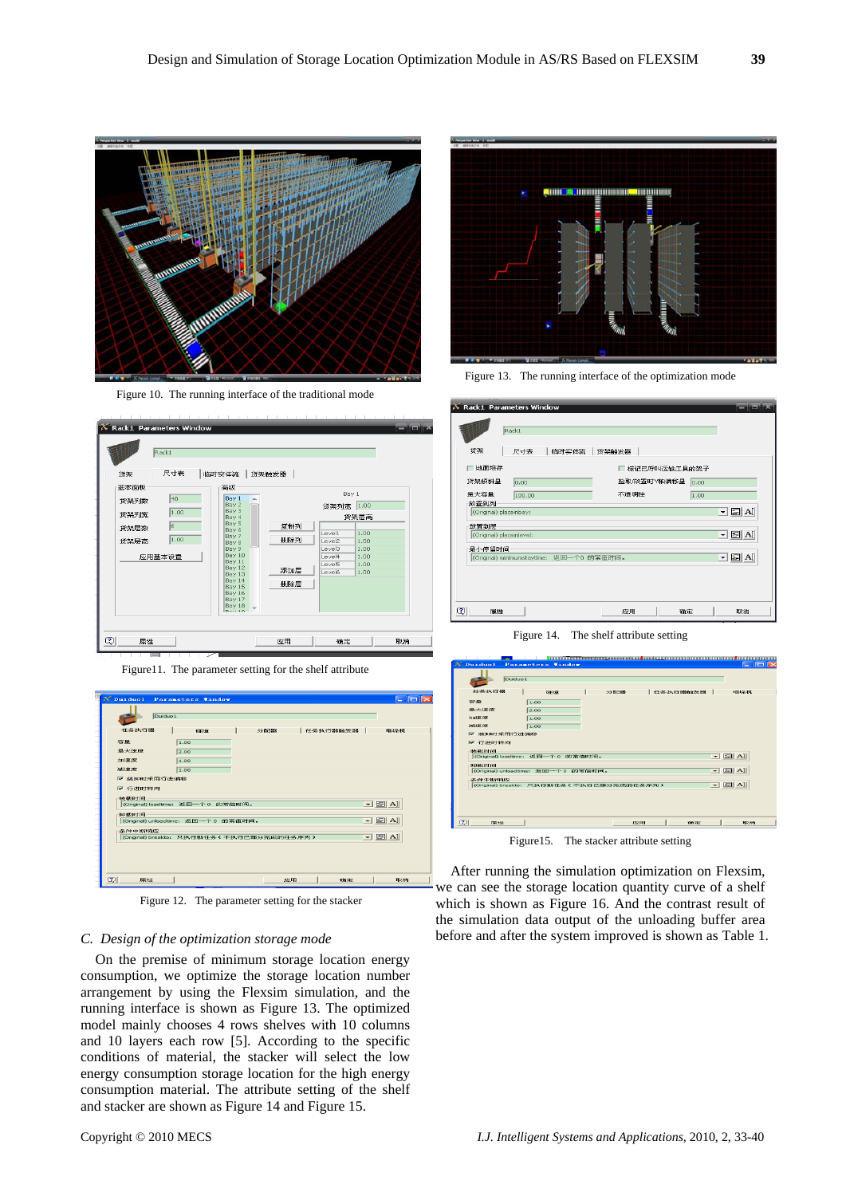

Figure 10. The running interface of the traditional mode



Figure11. The parameter setting for the shelf attribute



Figure 12. The parameter setting for the stacker

## *C. Design of the optimization storage mode*

On the premise of minimum storage location energy consumption, we optimize the storage location number arrangement by using the Flexsim simulation, and the running interface is shown as Figure 13. The optimized model mainly chooses 4 rows shelves with 10 columns and 10 layers each row [5]. According to the specific conditions of material, the stacker will select the low energy consumption storage location for the high energy consumption material. The attribute setting of the shelf and stacker are shown as Figure 14 and Figure 15.



Figure 13. The running interface of the optimization mode

| K Rack1 Parameters Window | Rack1  |                                          |       |                |      | FFX                                               |
|---------------------------|--------|------------------------------------------|-------|----------------|------|---------------------------------------------------|
| 货架                        | 尺寸表    | 临时实体流                                    | 货架触发器 |                |      |                                                   |
| ┌ 地面堆存                    |        |                                          |       | □ 标记已呼叫运输工具的架子 |      |                                                   |
| 货架倾斜量                     | 0.00   |                                          |       | 捡取/放置时Y轴偏移量    | 0.00 |                                                   |
| 最大容量<br>放置到列              | 100.00 |                                          | 不透明性  |                | 1.00 |                                                   |
| (Original) placeinbay:    |        |                                          |       |                |      | $\overline{\mathbf{I}}$ $\mathbf{E}$ $\mathbf{A}$ |
| 放置到层                      |        |                                          |       |                |      |                                                   |
| (Original) placeinlevel:  |        |                                          |       |                |      | $\Box$ $\Box$ Al                                  |
| 最小停留时间                    |        |                                          |       |                |      |                                                   |
|                           |        | (Original) minimumstaytime: 返回一个0 的常值时间。 |       |                |      | $\Box$ $\boxdot$ $\boxdot$                        |
|                           |        |                                          |       |                |      |                                                   |
|                           |        |                                          |       |                |      |                                                   |
|                           |        |                                          |       |                |      |                                                   |
| Q<br>属性                   |        |                                          | 应用    | 确定             |      | 取消                                                |

Figure 14. The shelf attribute setting

| $X$ Duiduol            |                     | Parameters Window                  |               |                                           |          |                | $   \times$     |
|------------------------|---------------------|------------------------------------|---------------|-------------------------------------------|----------|----------------|-----------------|
|                        | Duiduo <sub>1</sub> |                                    |               |                                           |          |                |                 |
| 任务执行器                  |                     | 研修                                 |               | 分角弓器                                      | 任务执行器触发器 |                | 対象はみます。         |
| 容量                     |                     | 1.00                               |               |                                           |          |                |                 |
| 最大进度                   |                     | 2.00                               |               |                                           |          |                |                 |
| <b>JUBBER 197</b>      |                     | 1.00                               |               |                                           |          |                |                 |
| 24833BL75E             |                     | 1.00                               |               |                                           |          |                |                 |
| ▽ 装卸时采用行进偏移            |                     |                                    |               |                                           |          |                |                 |
| 选择(数)日中间<br>第0类以日生间    |                     | (Original) loadtime: 返回一个 0 的常值时间。 |               |                                           |          | $\overline{ }$ | $\mathbb{E}$ Al |
| (Original) unloadtime: |                     |                                    | 返回一个 0 的常值时间。 |                                           |          |                | $ \boxdot$ Al   |
| 条件中断响应                 |                     |                                    |               |                                           |          |                |                 |
|                        |                     |                                    |               | (Original) breakto: 只执行新任务(不执行已部分完成的任务序列) |          |                | $ \boxdot$ Al   |
|                        |                     |                                    |               |                                           |          |                |                 |
| $\omega$<br>原料生        |                     |                                    |               |                                           | 应用       | 确定             | 取酒              |

Figure15. The stacker attribute setting

After running the simulation optimization on Flexsim, we can see the storage location quantity curve of a shelf which is shown as Figure 16. And the contrast result of the simulation data output of the unloading buffer area before and after the system improved is shown as Table 1.